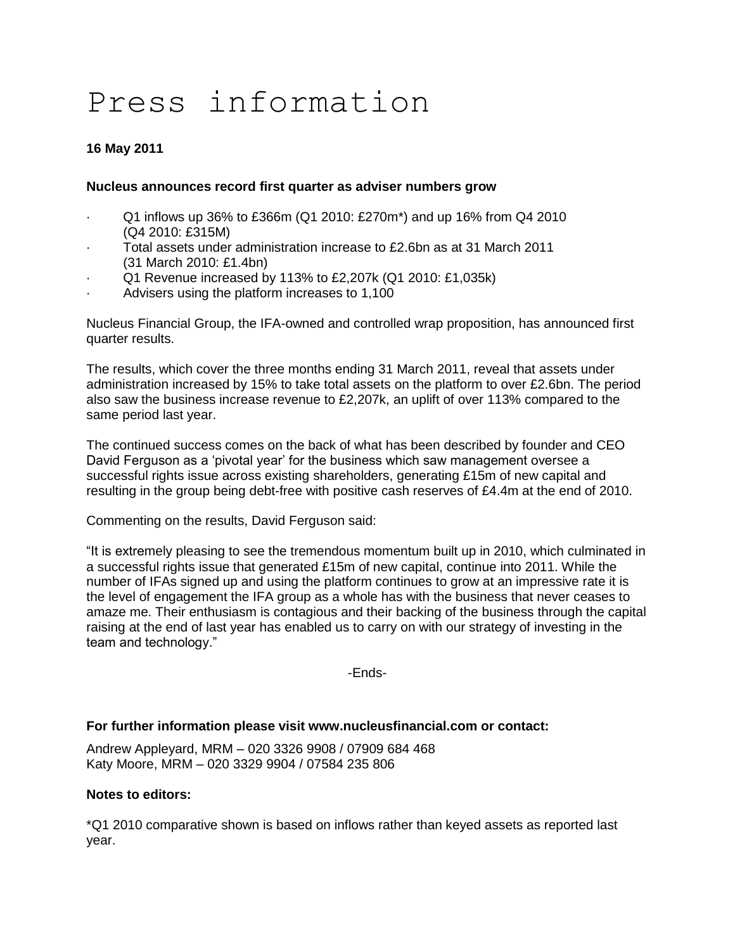# Press information

# **16 May 2011**

#### **Nucleus announces record first quarter as adviser numbers grow**

- · Q1 inflows up 36% to £366m (Q1 2010: £270m\*) and up 16% from Q4 2010 (Q4 2010: £315M)
- · Total assets under administration increase to £2.6bn as at 31 March 2011 (31 March 2010: £1.4bn)
- · Q1 Revenue increased by 113% to £2,207k (Q1 2010: £1,035k)
- Advisers using the platform increases to 1,100

Nucleus Financial Group, the IFA-owned and controlled wrap proposition, has announced first quarter results.

The results, which cover the three months ending 31 March 2011, reveal that assets under administration increased by 15% to take total assets on the platform to over £2.6bn. The period also saw the business increase revenue to £2,207k, an uplift of over 113% compared to the same period last year.

The continued success comes on the back of what has been described by founder and CEO David Ferguson as a "pivotal year" for the business which saw management oversee a successful rights issue across existing shareholders, generating £15m of new capital and resulting in the group being debt-free with positive cash reserves of £4.4m at the end of 2010.

Commenting on the results, David Ferguson said:

"It is extremely pleasing to see the tremendous momentum built up in 2010, which culminated in a successful rights issue that generated £15m of new capital, continue into 2011. While the number of IFAs signed up and using the platform continues to grow at an impressive rate it is the level of engagement the IFA group as a whole has with the business that never ceases to amaze me. Their enthusiasm is contagious and their backing of the business through the capital raising at the end of last year has enabled us to carry on with our strategy of investing in the team and technology."

-Ends-

## **For further information please visit www.nucleusfinancial.com or contact:**

Andrew Appleyard, MRM – 020 3326 9908 / 07909 684 468 Katy Moore, MRM – 020 3329 9904 / 07584 235 806

### **Notes to editors:**

\*Q1 2010 comparative shown is based on inflows rather than keyed assets as reported last year.